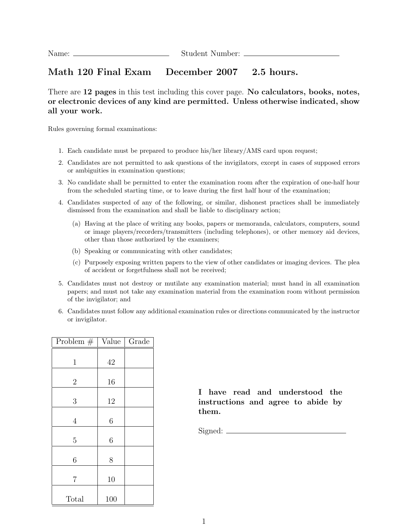## Math 120 Final Exam December 2007 2.5 hours.

There are 12 pages in this test including this cover page. No calculators, books, notes, or electronic devices of any kind are permitted. Unless otherwise indicated, show all your work.

Rules governing formal examinations:

- 1. Each candidate must be prepared to produce his/her library/AMS card upon request;
- 2. Candidates are not permitted to ask questions of the invigilators, except in cases of supposed errors or ambiguities in examination questions;
- 3. No candidate shall be permitted to enter the examination room after the expiration of one-half hour from the scheduled starting time, or to leave during the first half hour of the examination;
- 4. Candidates suspected of any of the following, or similar, dishonest practices shall be immediately dismissed from the examination and shall be liable to disciplinary action;
	- (a) Having at the place of writing any books, papers or memoranda, calculators, computers, sound or image players/recorders/transmitters (including telephones), or other memory aid devices, other than those authorized by the examiners;
	- (b) Speaking or communicating with other candidates;
	- (c) Purposely exposing written papers to the view of other candidates or imaging devices. The plea of accident or forgetfulness shall not be received;
- 5. Candidates must not destroy or mutilate any examination material; must hand in all examination papers; and must not take any examination material from the examination room without permission of the invigilator; and
- 6. Candidates must follow any additional examination rules or directions communicated by the instructor or invigilator.

| Problem $#$    | Value | Grade |
|----------------|-------|-------|
| $\mathbf{1}$   | 42    |       |
| $\overline{2}$ | 16    |       |
| 3              | 12    |       |
| $\overline{4}$ | 6     |       |
| $\overline{5}$ | 6     |       |
| 6              | 8     |       |
| 7              | 10    |       |
| Total          | 100   |       |

I have read and understood the instructions and agree to abide by them.

Signed: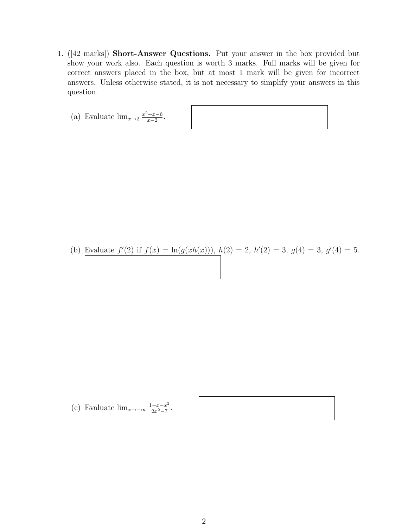- 1. ([42 marks]) Short-Answer Questions. Put your answer in the box provided but show your work also. Each question is worth 3 marks. Full marks will be given for correct answers placed in the box, but at most 1 mark will be given for incorrect answers. Unless otherwise stated, it is not necessary to simplify your answers in this question.
	- (a) Evaluate  $\lim_{x\to 2} \frac{x^2+x-6}{x-2}$  $\frac{+x-6}{x-2}$ .

(b) Evaluate  $f'(2)$  if  $f(x) = \ln(g(xh(x))), h(2) = 2, h'(2) = 3, g(4) = 3, g'(4) = 5.$ 

(c) Evaluate 
$$
\lim_{x \to -\infty} \frac{1 - x - x^2}{2x^2 - 7}
$$
.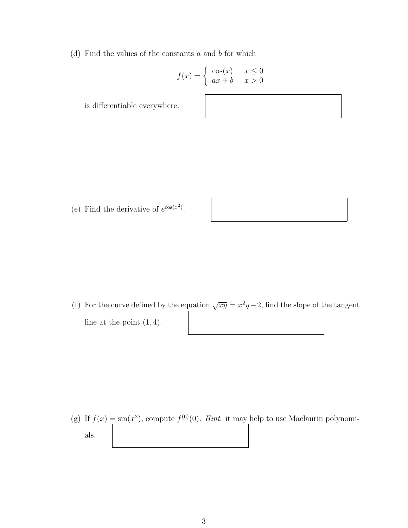(d) Find the values of the constants  $a$  and  $b$  for which

$$
f(x) = \begin{cases} \cos(x) & x \le 0\\ ax + b & x > 0 \end{cases}
$$

is differentiable everywhere.

(e) Find the derivative of  $e^{\cos(x^2)}$ .

(f) For the curve defined by the equation  $\sqrt{xy} = x^2y - 2$ , find the slope of the tangent line at the point  $(1, 4)$ .

(g) If  $f(x) = \sin(x^2)$ , compute  $f^{(6)}(0)$ . Hint: it may help to use Maclaurin polynomials.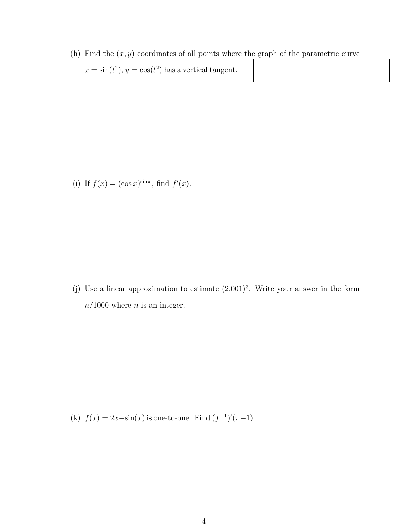(h) Find the  $(x, y)$  coordinates of all points where the graph of the parametric curve  $x = \sin(t^2)$ ,  $y = \cos(t^2)$  has a vertical tangent.

(i) If  $f(x) = (\cos x)^{\sin x}$ , find  $f'(x)$ .

- (j) Use a linear approximation to estimate  $(2.001)^3$ . Write your answer in the form
	- $n/1000$  where *n* is an integer.

(k)  $f(x) = 2x - \sin(x)$  is one-to-one. Find  $(f^{-1})'(\pi - 1)$ .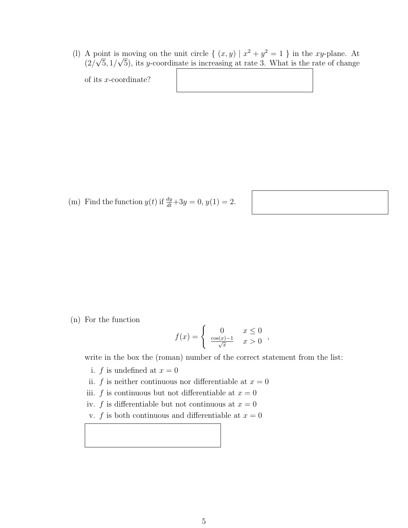(l) A point is moving on the unit circle  $\{(x, y) | x^2 + y^2 = 1 \}$  in the xy-plane. At  $(2/\sqrt{5}, 1/\sqrt{5})$ , its y-coordinate is increasing at rate 3. What is the rate of change

of its x-coordinate?

(m) Find the function  $y(t)$  if  $\frac{dy}{dt} + 3y = 0$ ,  $y(1) = 2$ .

(n) For the function

$$
f(x) = \begin{cases} 0 & x \le 0 \\ \frac{\cos(x) - 1}{\sqrt{x}} & x > 0 \end{cases}
$$

write in the box the (roman) number of the correct statement from the list:

- i. f is undefined at  $x = 0$
- ii. f is neither continuous nor differentiable at  $x = 0$
- iii. f is continuous but not differentiable at  $x = 0$
- iv. f is differentiable but not continuous at  $x = 0$
- v. f is both continuous and differentiable at  $x = 0$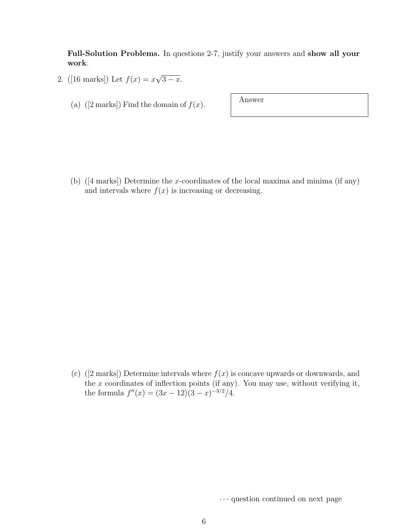Full-Solution Problems. In questions 2-7, justify your answers and show all your work.

- 2. ([16 marks]) Let  $f(x) = x$ √  $\overline{3-x}$ .
	- (a) ([2 marks]) Find the domain of  $f(x)$ . Answer

(b)  $(4 \text{ marks})$  Determine the x-coordinates of the local maxima and minima (if any) and intervals where  $f(x)$  is increasing or decreasing.

(c) ([2 marks]) Determine intervals where  $f(x)$  is concave upwards or downwards, and the  $x$  coordinates of inflection points (if any). You may use, without verifying it, the formula  $f''(x) = (3x - 12)(3 - x)^{-3/2}/4.$ 

· · · question continued on next page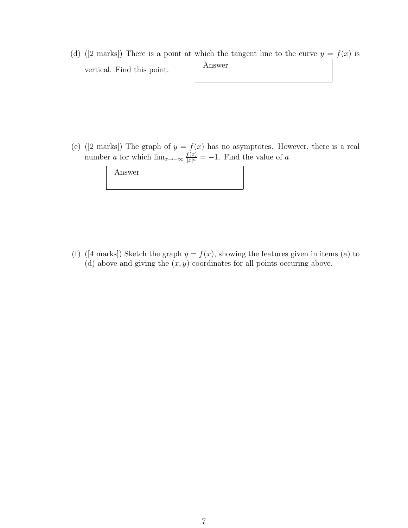(d) ([2 marks]) There is a point at which the tangent line to the curve  $y = f(x)$  is vertical. Find this point. Answer

(e) ([2 marks]) The graph of  $y = f(x)$  has no asymptotes. However, there is a real number a for which  $\lim_{x\to-\infty}\frac{f(x)}{|x|^a}$  $\frac{f(x)}{|x|^a} = -1$ . Find the value of a.

| Answer |  |  |  |
|--------|--|--|--|
|        |  |  |  |

(f) ([4 marks]) Sketch the graph  $y = f(x)$ , showing the features given in items (a) to (d) above and giving the  $(x, y)$  coordinates for all points occuring above.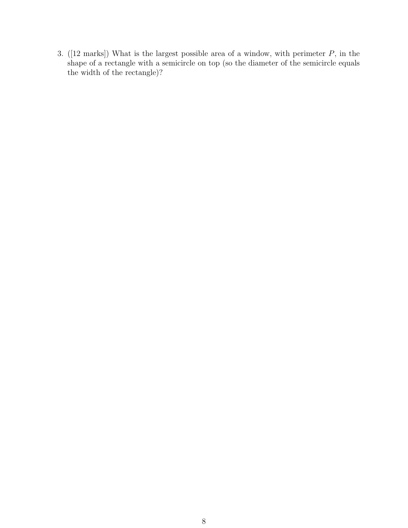3. ([12 marks]) What is the largest possible area of a window, with perimeter P, in the shape of a rectangle with a semicircle on top (so the diameter of the semicircle equals the width of the rectangle)?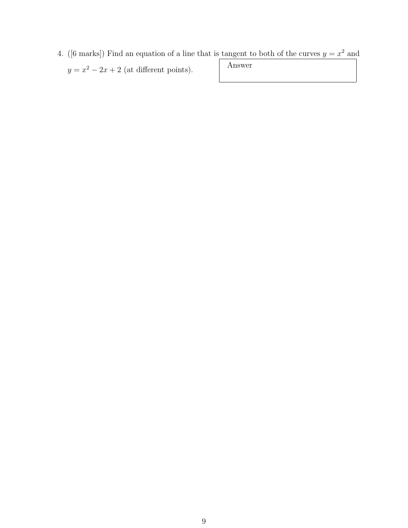4. ([6 marks]) Find an equation of a line that is tangent to both of the curves  $y = x^2$  and  $y = x^2 - 2x + 2$  (at different points). Answer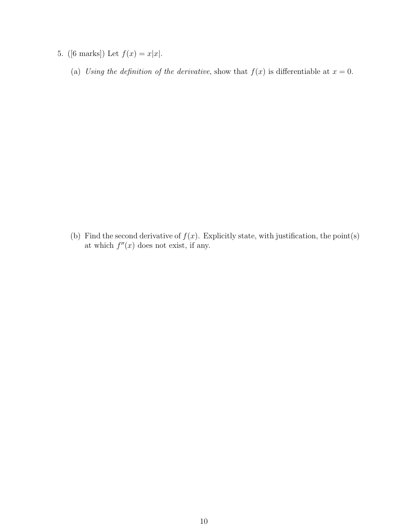- 5. ([6 marks]) Let  $f(x) = x|x|$ .
	- (a) Using the definition of the derivative, show that  $f(x)$  is differentiable at  $x = 0$ .

(b) Find the second derivative of  $f(x)$ . Explicitly state, with justification, the point(s) at which  $f''(x)$  does not exist, if any.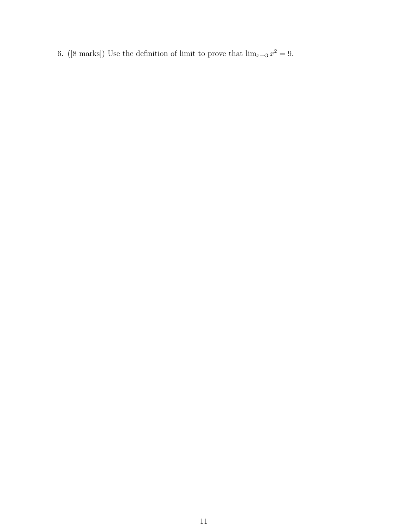6. ([8 marks]) Use the definition of limit to prove that  $\lim_{x\to 3} x^2 = 9$ .